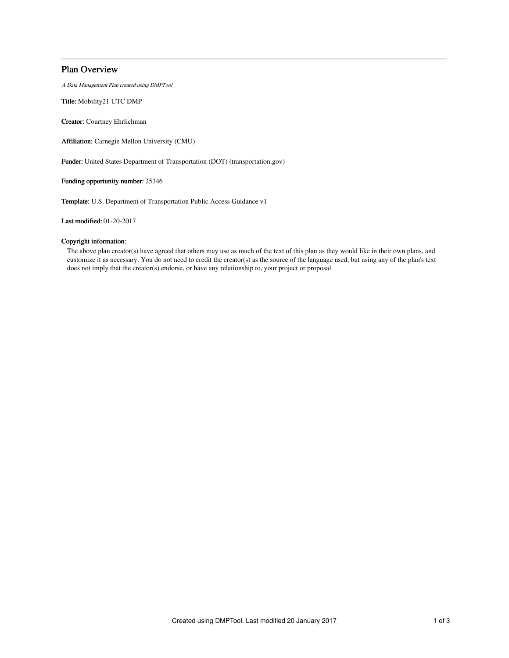## Plan Overview

A Data Management Plan created using DMPTool

Title: Mobility21 UTC DMP

Creator: Courtney Ehrlichman

Affiliation: Carnegie Mellon University (CMU)

Funder: United States Department of Transportation (DOT) (transportation.gov)

Funding opportunity number: 25346

Template: U.S. Department of Transportation Public Access Guidance v1

Last modified: 01-20-2017

## Copyright information:

The above plan creator(s) have agreed that others may use as much of the text of this plan as they would like in their own plans, and customize it as necessary. You do not need to credit the creator(s) as the source of the language used, but using any of the plan's text does not imply that the creator(s) endorse, or have any relationship to, your project or proposal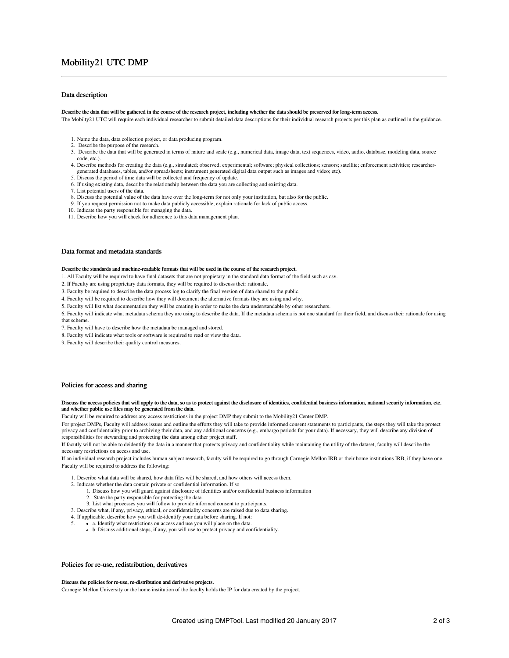# Mobility21 UTC DMP

## Data description

#### Describe the data that will be gathered in the course of the research project, including whether the data should be preserved for long-term access.

The Mobilty21 UTC will require each individual researcher to submit detailed data descriptions for their individual research projects per this plan as outlined in the guidance.

- 1. Name the data, data collection project, or data producing program.
- 2. Describe the purpose of the research.
- 3. Describe the data that will be generated in terms of nature and scale (e.g., numerical data, image data, text sequences, video, audio, database, modeling data, source code, etc.).
- 4. Describe methods for creating the data (e.g., simulated; observed; experimental; software; physical collections; sensors; satellite; enforcement activities; researchergenerated databases, tables, and/or spreadsheets; instrument generated digital data output such as images and video; etc).
- 5. Discuss the period of time data will be collected and frequency of update.
- 6. If using existing data, describe the relationship between the data you are collecting and existing data.
- 7. List potential users of the data.
- 8. Discuss the potential value of the data have over the long-term for not only your institution, but also for the public.
- 9. If you request permission not to make data publicly accessible, explain rationale for lack of public access.
- 10. Indicate the party responsible for managing the data.
- 11. Describe how you will check for adherence to this data management plan.

### Data format and metadata standards

#### Describe the standards and machine-readable formats that will be used in the course of the research project.

1. All Faculty will be required to have final datasets that are not propietary in the standard data format of the field such as csv.

2. If Faculty are using proprietary data formats, they will be required to discuss their rationale.

- 3. Faculty be required to describe the data process log to clarify the final version of data shared to the public.
- 4. Faculty will be required to describe how they will document the alternative formats they are using and why.
- 5. Faculty will list what documentation they will be creating in order to make the data understandable by other researchers.
- 6. Faculty will indicate what metadata schema they are using to describe the data. If the metadata schema is not one standard for their field, and discuss their rationale for using that scheme.
- 7. Faculty will have to describe how the metadata be managed and stored.
- 8. Faculty will indicate what tools or software is required to read or view the data.
- 9. Faculty will describe their quality control measures.

#### Policies for access and sharing

#### Discuss the access policies that will apply to the data, so as to protect against the disclosure of identities, confidential business information, national security information, etc. and whether public use files may be generated from the data.

Faculty will be required to address any access restrictions in the project DMP they submit to the Mobility21 Center DMP.

For project DMPs, Faculty will address issues and outline the efforts they will take to provide informed consent statements to participants, the steps they will take the protect privacy and confidentiality prior to archiving their data, and any additional concerns (e.g., embargo periods for your data). If necessary, they will describe any division of responsibilities for stewarding and protecting the data among other project staff.

If facutly will not be able to deidentify the data in a manner that protects privacy and confidentiality while maintaining the utility of the dataset, faculty will describe the necessary restrictions on access and use.

If an individual research project includes human subject research, faculty will be required to go through Carnegie Mellon IRB or their home institutions IRB, if they have one. Faculty will be required to address the following:

1. Describe what data will be shared, how data files will be shared, and how others will access them.

- 2. Indicate whether the data contain private or confidential information. If so
	- 1. Discuss how you will guard against disclosure of identities and/or confidential business information
		- 2. State the party responsible for protecting the data.
	- 3. List what processes you will follow to provide informed consent to participants.
- 3. Describe what, if any, privacy, ethical, or confidentiality concerns are raised due to data sharing.
- 4. If applicable, describe how you will de-identify your data before sharing. If not:<br>5 **a** Identify what restrictions on access and use you will place on the data
- 5. a. Identify what restrictions on access and use you will place on the data.
- b. Discuss additional steps, if any, you will use to protect privacy and confidentiality.

## Policies for re-use, redistribution, derivatives

### Discuss the policies for re-use, re-distribution and derivative projects.

Carnegie Mellon University or the home institution of the faculty holds the IP for data created by the project.